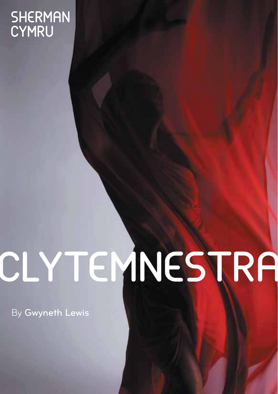## **SHERMAN** CYMRU

# CLYTEMNESTRA

By Gwyneth Lewis